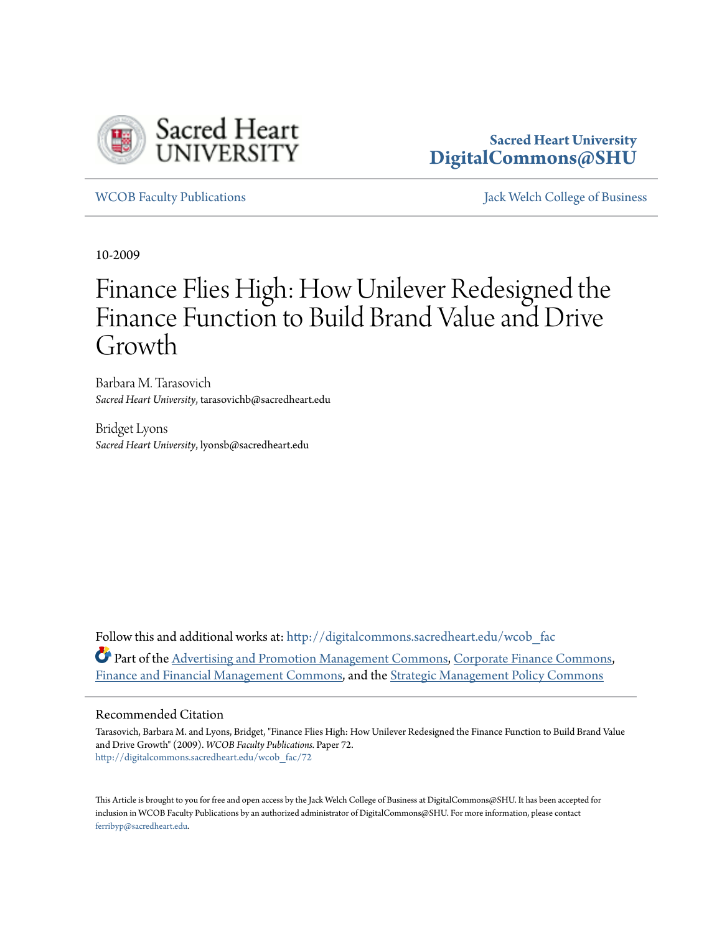

# **Sacred Heart University [DigitalCommons@SHU](http://digitalcommons.sacredheart.edu?utm_source=digitalcommons.sacredheart.edu%2Fwcob_fac%2F72&utm_medium=PDF&utm_campaign=PDFCoverPages)**

[WCOB Faculty Publications](http://digitalcommons.sacredheart.edu/wcob_fac?utm_source=digitalcommons.sacredheart.edu%2Fwcob_fac%2F72&utm_medium=PDF&utm_campaign=PDFCoverPages) [Jack Welch College of Business](http://digitalcommons.sacredheart.edu/wcob?utm_source=digitalcommons.sacredheart.edu%2Fwcob_fac%2F72&utm_medium=PDF&utm_campaign=PDFCoverPages)

10-2009

# Finance Flies High: How Unilever Redesigned the Finance Function to Build Brand Value and Drive Growth

Barbara M. Tarasovich *Sacred Heart University*, tarasovichb@sacredheart.edu

Bridget Lyons *Sacred Heart University*, lyonsb@sacredheart.edu

Follow this and additional works at: [http://digitalcommons.sacredheart.edu/wcob\\_fac](http://digitalcommons.sacredheart.edu/wcob_fac?utm_source=digitalcommons.sacredheart.edu%2Fwcob_fac%2F72&utm_medium=PDF&utm_campaign=PDFCoverPages) Part of the [Advertising and Promotion Management Commons,](http://network.bepress.com/hgg/discipline/626?utm_source=digitalcommons.sacredheart.edu%2Fwcob_fac%2F72&utm_medium=PDF&utm_campaign=PDFCoverPages) [Corporate Finance Commons](http://network.bepress.com/hgg/discipline/629?utm_source=digitalcommons.sacredheart.edu%2Fwcob_fac%2F72&utm_medium=PDF&utm_campaign=PDFCoverPages), [Finance and Financial Management Commons,](http://network.bepress.com/hgg/discipline/631?utm_source=digitalcommons.sacredheart.edu%2Fwcob_fac%2F72&utm_medium=PDF&utm_campaign=PDFCoverPages) and the [Strategic Management Policy Commons](http://network.bepress.com/hgg/discipline/642?utm_source=digitalcommons.sacredheart.edu%2Fwcob_fac%2F72&utm_medium=PDF&utm_campaign=PDFCoverPages)

#### Recommended Citation

Tarasovich, Barbara M. and Lyons, Bridget, "Finance Flies High: How Unilever Redesigned the Finance Function to Build Brand Value and Drive Growth" (2009). *WCOB Faculty Publications.* Paper 72. [http://digitalcommons.sacredheart.edu/wcob\\_fac/72](http://digitalcommons.sacredheart.edu/wcob_fac/72?utm_source=digitalcommons.sacredheart.edu%2Fwcob_fac%2F72&utm_medium=PDF&utm_campaign=PDFCoverPages)

This Article is brought to you for free and open access by the Jack Welch College of Business at DigitalCommons@SHU. It has been accepted for inclusion in WCOB Faculty Publications by an authorized administrator of DigitalCommons@SHU. For more information, please contact [ferribyp@sacredheart.edu](mailto:ferribyp@sacredheart.edu).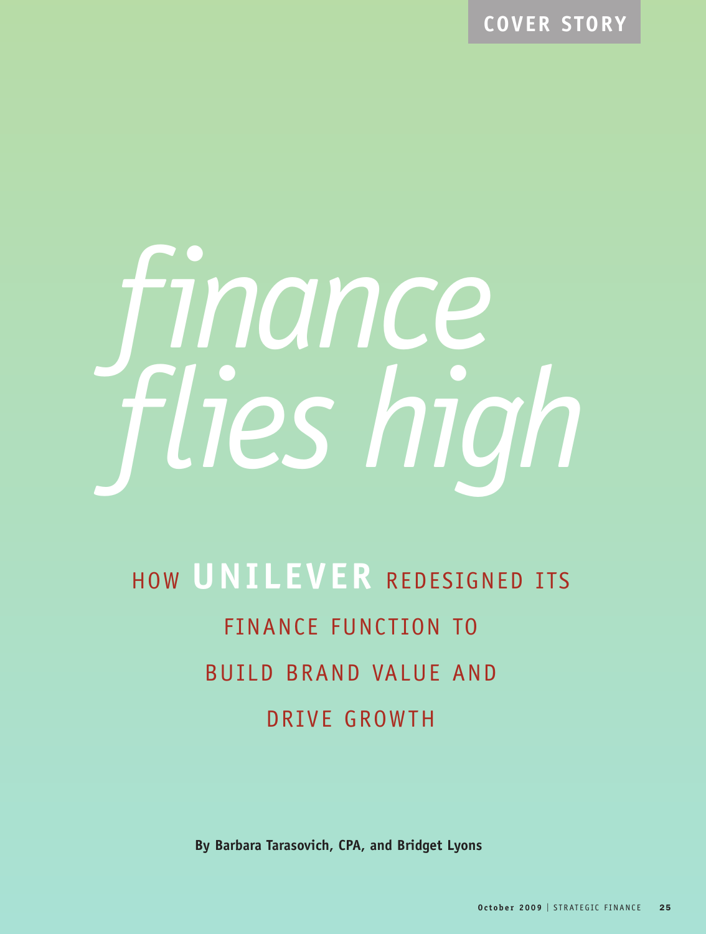**COVER STORY**



# HOW **UNILEVER** REDESIGNED ITS FINANCE FUNCTION TO BUILD BRAND VALUE AND DRIVE GROWTH

**By Barbara Tarasovich, CPA, and Bridget Lyons**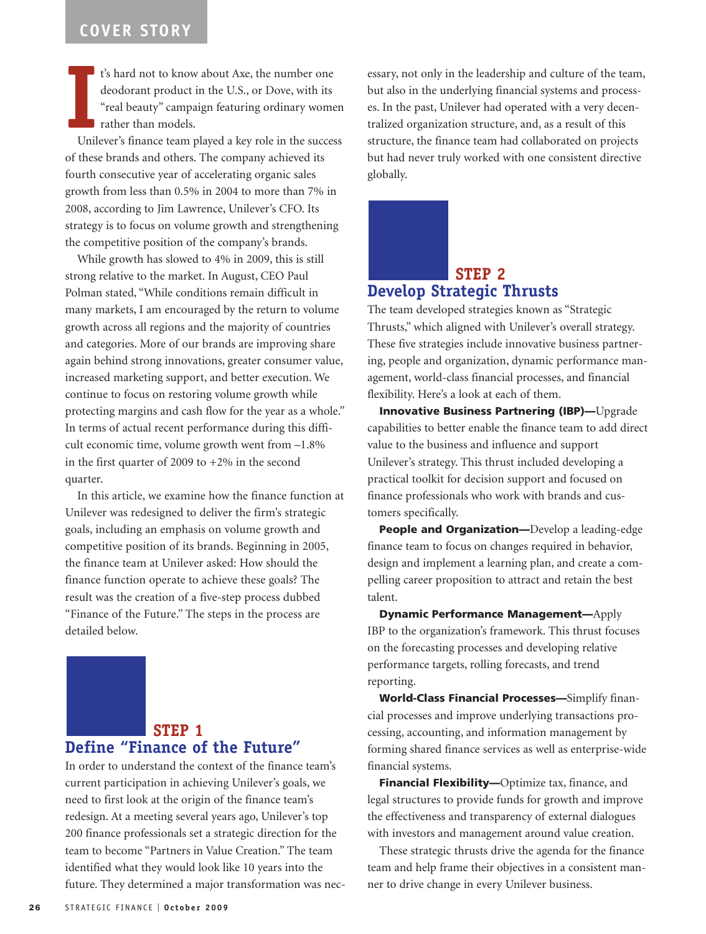**I**<br>Unil t's hard not to know about Axe, the number one deodorant product in the U.S., or Dove, with its "real beauty" campaign featuring ordinary women rather than models.

Unilever's finance team played a key role in the success of these brands and others. The company achieved its fourth consecutive year of accelerating organic sales growth from less than 0.5% in 2004 to more than 7% in 2008, according to Jim Lawrence, Unilever's CFO. Its strategy is to focus on volume growth and strengthening the competitive position of the company's brands.

While growth has slowed to 4% in 2009, this is still strong relative to the market. In August, CEO Paul Polman stated, "While conditions remain difficult in many markets, I am encouraged by the return to volume growth across all regions and the majority of countries and categories. More of our brands are improving share again behind strong innovations, greater consumer value, increased marketing support, and better execution. We continue to focus on restoring volume growth while protecting margins and cash flow for the year as a whole." In terms of actual recent performance during this difficult economic time, volume growth went from –1.8% in the first quarter of 2009 to +2% in the second quarter.

In this article, we examine how the finance function at Unilever was redesigned to deliver the firm's strategic goals, including an emphasis on volume growth and competitive position of its brands. Beginning in 2005, the finance team at Unilever asked: How should the finance function operate to achieve these goals? The result was the creation of a five-step process dubbed "Finance of the Future." The steps in the process are detailed below.

# **STEP 1 Define "Finance of the Future"**

In order to understand the context of the finance team's current participation in achieving Unilever's goals, we need to first look at the origin of the finance team's redesign. At a meeting several years ago, Unilever's top 200 finance professionals set a strategic direction for the team to become "Partners in Value Creation." The team identified what they would look like 10 years into the future. They determined a major transformation was necessary, not only in the leadership and culture of the team, but also in the underlying financial systems and processes. In the past, Unilever had operated with a very decentralized organization structure, and, as a result of this structure, the finance team had collaborated on projects but had never truly worked with one consistent directive globally.

# **STEP 2 Develop Strategic Thrusts**

The team developed strategies known as "Strategic Thrusts," which aligned with Unilever's overall strategy. These five strategies include innovative business partnering, people and organization, dynamic performance management, world-class financial processes, and financial flexibility. Here's a look at each of them.

**Innovative Business Partnering (IBP)—**Upgrade capabilities to better enable the finance team to add direct value to the business and influence and support Unilever's strategy. This thrust included developing a practical toolkit for decision support and focused on finance professionals who work with brands and customers specifically.

**People and Organization—**Develop a leading-edge finance team to focus on changes required in behavior, design and implement a learning plan, and create a compelling career proposition to attract and retain the best talent.

**Dynamic Performance Management—**Apply IBP to the organization's framework. This thrust focuses on the forecasting processes and developing relative performance targets, rolling forecasts, and trend reporting.

**World-Class Financial Processes—**Simplify financial processes and improve underlying transactions processing, accounting, and information management by forming shared finance services as well as enterprise-wide financial systems.

**Financial Flexibility—**Optimize tax, finance, and legal structures to provide funds for growth and improve the effectiveness and transparency of external dialogues with investors and management around value creation.

These strategic thrusts drive the agenda for the finance team and help frame their objectives in a consistent manner to drive change in every Unilever business.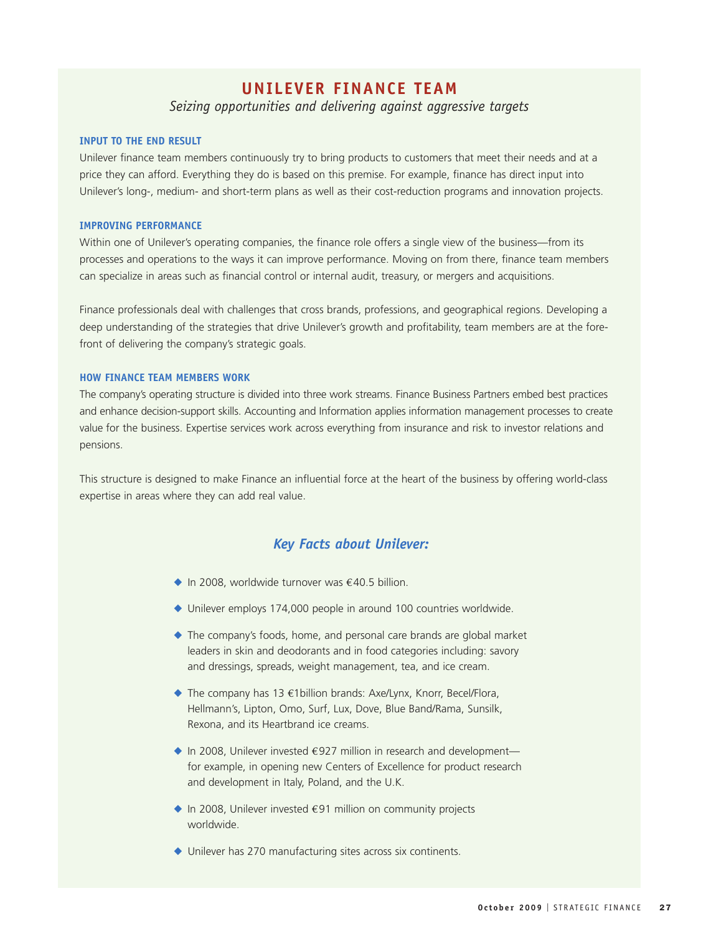## **UNILEVER FINANCE TEAM**

#### *Seizing opportunities and delivering against aggressive targets*

#### **INPUT TO THE END RESULT**

Unilever finance team members continuously try to bring products to customers that meet their needs and at a price they can afford. Everything they do is based on this premise. For example, finance has direct input into Unilever's long-, medium- and short-term plans as well as their cost-reduction programs and innovation projects.

#### **IMPROVING PERFORMANCE**

Within one of Unilever's operating companies, the finance role offers a single view of the business—from its processes and operations to the ways it can improve performance. Moving on from there, finance team members can specialize in areas such as financial control or internal audit, treasury, or mergers and acquisitions.

Finance professionals deal with challenges that cross brands, professions, and geographical regions. Developing a deep understanding of the strategies that drive Unilever's growth and profitability, team members are at the forefront of delivering the company's strategic goals.

#### **HOW FINANCE TEAM MEMBERS WORK**

The company's operating structure is divided into three work streams. Finance Business Partners embed best practices and enhance decision-support skills. Accounting and Information applies information management processes to create value for the business. Expertise services work across everything from insurance and risk to investor relations and pensions.

This structure is designed to make Finance an influential force at the heart of the business by offering world-class expertise in areas where they can add real value.

#### *Key Facts about Unilever:*

- ◆ In 2008, worldwide turnover was €40.5 billion.
- ◆ Unilever employs 174,000 people in around 100 countries worldwide.
- ◆ The company's foods, home, and personal care brands are global market leaders in skin and deodorants and in food categories including: savory and dressings, spreads, weight management, tea, and ice cream.
- ◆ The company has 13 €1billion brands: Axe/Lynx, Knorr, Becel/Flora, Hellmann's, Lipton, Omo, Surf, Lux, Dove, Blue Band/Rama, Sunsilk, Rexona, and its Heartbrand ice creams.
- ◆ In 2008, Unilever invested €927 million in research and development for example, in opening new Centers of Excellence for product research and development in Italy, Poland, and the U.K.
- ◆ In 2008, Unilever invested €91 million on community projects worldwide.
- ◆ Unilever has 270 manufacturing sites across six continents.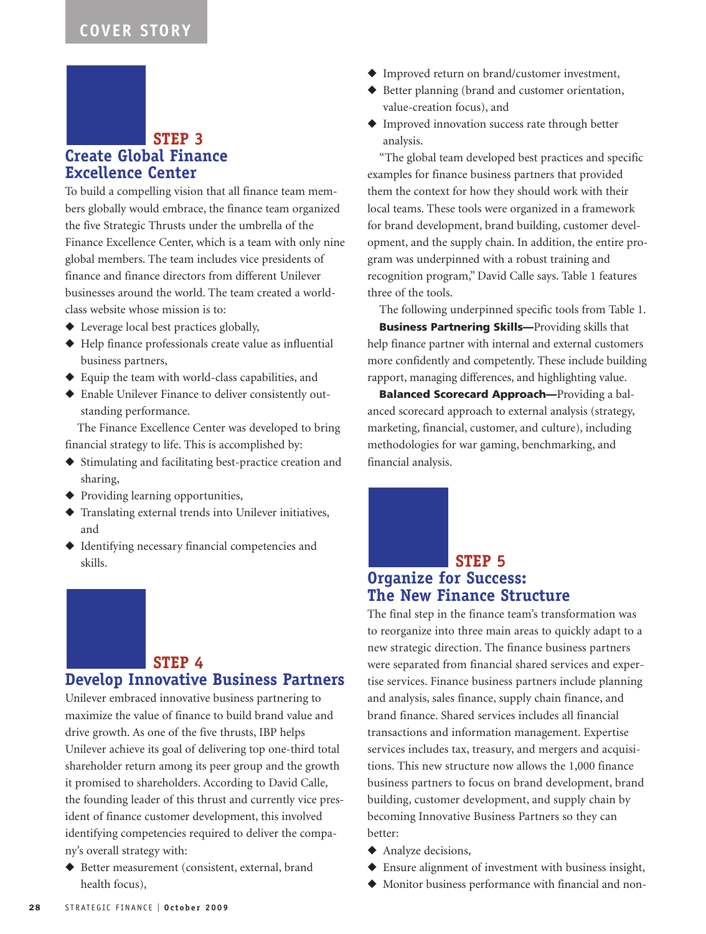### **STEP 3 Create Global Finance Excellence Center**

To build a compelling vision that all finance team members globally would embrace, the finance team organized the five Strategic Thrusts under the umbrella of the Finance Excellence Center, which is a team with only nine global members. The team includes vice presidents of finance and finance directors from different Unilever businesses around the world. The team created a worldclass website whose mission is to:

- ◆ Leverage local best practices globally,
- ◆ Help finance professionals create value as influential business partners,
- ◆ Equip the team with world-class capabilities, and
- ◆ Enable Unilever Finance to deliver consistently outstanding performance.

The Finance Excellence Center was developed to bring financial strategy to life. This is accomplished by:

- ◆ Stimulating and facilitating best-practice creation and sharing,
- ◆ Providing learning opportunities,
- ◆ Translating external trends into Unilever initiatives, and
- ◆ Identifying necessary financial competencies and skills.

# **STEP 4**

# **Develop Innovative Business Partners**

Unilever embraced innovative business partnering to maximize the value of finance to build brand value and drive growth. As one of the five thrusts, IBP helps Unilever achieve its goal of delivering top one-third total shareholder return among its peer group and the growth it promised to shareholders. According to David Calle, the founding leader of this thrust and currently vice president of finance customer development, this involved identifying competencies required to deliver the company's overall strategy with:

◆ Better measurement (consistent, external, brand health focus),

- ◆ Improved return on brand/customer investment,
- ◆ Better planning (brand and customer orientation, value-creation focus), and
- ◆ Improved innovation success rate through better analysis.

"The global team developed best practices and specific examples for finance business partners that provided them the context for how they should work with their local teams. These tools were organized in a framework for brand development, brand building, customer development, and the supply chain. In addition, the entire program was underpinned with a robust training and recognition program," David Calle says. Table 1 features three of the tools.

The following underpinned specific tools from Table 1.

**Business Partnering Skills—**Providing skills that help finance partner with internal and external customers more confidently and competently. These include building rapport, managing differences, and highlighting value.

**Balanced Scorecard Approach—**Providing a balanced scorecard approach to external analysis (strategy, marketing, financial, customer, and culture), including methodologies for war gaming, benchmarking, and financial analysis.

# **STEP 5 Organize for Success: The New Finance Structure**

The final step in the finance team's transformation was to reorganize into three main areas to quickly adapt to a new strategic direction. The finance business partners were separated from financial shared services and expertise services. Finance business partners include planning and analysis, sales finance, supply chain finance, and brand finance. Shared services includes all financial transactions and information management. Expertise services includes tax, treasury, and mergers and acquisitions. This new structure now allows the 1,000 finance business partners to focus on brand development, brand building, customer development, and supply chain by becoming Innovative Business Partners so they can better:

- ◆ Analyze decisions,
- ◆ Ensure alignment of investment with business insight,
- ◆ Monitor business performance with financial and non-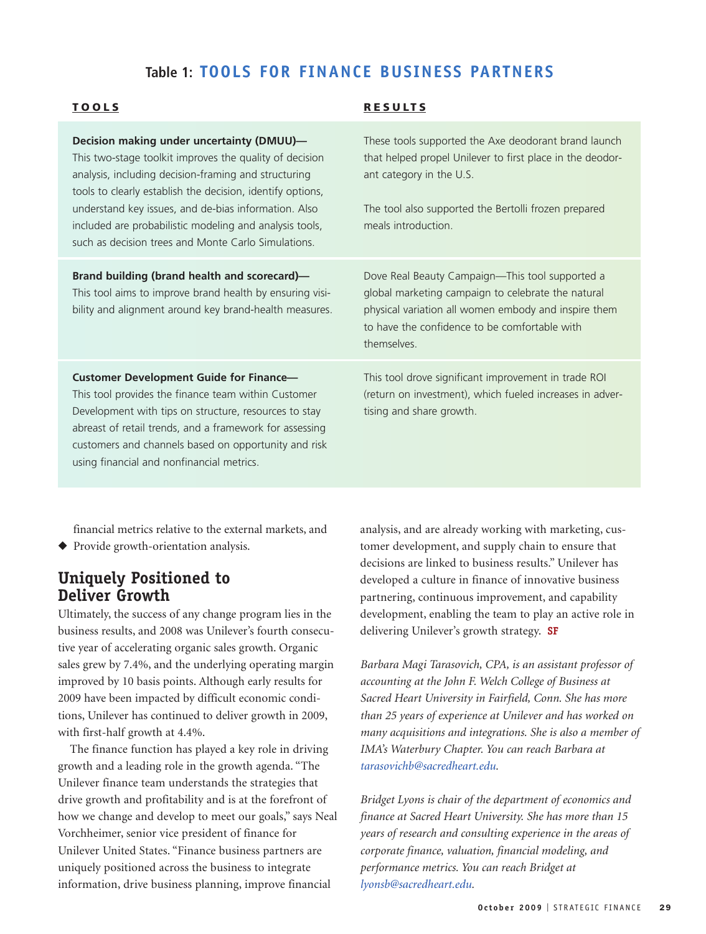# **Table 1: TOOLS FOR FINANCE BUSINESS PARTNERS**

**RESUL T S**

#### **TOOLS**

| Decision making under uncertainty (DMUU)-<br>This two-stage toolkit improves the quality of decision<br>analysis, including decision-framing and structuring<br>tools to clearly establish the decision, identify options,<br>understand key issues, and de-bias information. Also<br>included are probabilistic modeling and analysis tools,<br>such as decision trees and Monte Carlo Simulations. | These tools supported the Axe deodorant brand launch<br>that helped propel Unilever to first place in the deodor-<br>ant category in the U.S.<br>The tool also supported the Bertolli frozen prepared<br>meals introduction.  |
|------------------------------------------------------------------------------------------------------------------------------------------------------------------------------------------------------------------------------------------------------------------------------------------------------------------------------------------------------------------------------------------------------|-------------------------------------------------------------------------------------------------------------------------------------------------------------------------------------------------------------------------------|
| Brand building (brand health and scorecard)—<br>This tool aims to improve brand health by ensuring visi-<br>bility and alignment around key brand-health measures.                                                                                                                                                                                                                                   | Dove Real Beauty Campaign—This tool supported a<br>global marketing campaign to celebrate the natural<br>physical variation all women embody and inspire them<br>to have the confidence to be comfortable with<br>themselves. |
| <b>Customer Development Guide for Finance-</b><br>This tool provides the finance team within Customer<br>Development with tips on structure, resources to stay<br>abreast of retail trends, and a framework for assessing<br>customers and channels based on opportunity and risk<br>using financial and nonfinancial metrics.                                                                       | This tool drove significant improvement in trade ROI<br>(return on investment), which fueled increases in adver-<br>tising and share growth.                                                                                  |

financial metrics relative to the external markets, and ◆ Provide growth-orientation analysis.

# **Uniquely Positioned to Deliver Growth**

Ultimately, the success of any change program lies in the business results, and 2008 was Unilever's fourth consecutive year of accelerating organic sales growth. Organic sales grew by 7.4%, and the underlying operating margin improved by 10 basis points. Although early results for 2009 have been impacted by difficult economic conditions, Unilever has continued to deliver growth in 2009, with first-half growth at 4.4%.

The finance function has played a key role in driving growth and a leading role in the growth agenda. "The Unilever finance team understands the strategies that drive growth and profitability and is at the forefront of how we change and develop to meet our goals," says Neal Vorchheimer, senior vice president of finance for Unilever United States. "Finance business partners are uniquely positioned across the business to integrate information, drive business planning, improve financial

analysis, and are already working with marketing, customer development, and supply chain to ensure that decisions are linked to business results." Unilever has developed a culture in finance of innovative business partnering, continuous improvement, and capability development, enabling the team to play an active role in delivering Unilever's growth strategy. **SF**

*Barbara Magi Tarasovich, CPA, is an assistant professor of accounting at the John F. Welch College of Business at Sacred Heart University in Fairfield, Conn. She has more than 25 years of experience at Unilever and has worked on many acquisitions and integrations. She is also a member of IMA's Waterbury Chapter. You can reach Barbara at tarasovichb@sacredheart.edu.*

*Bridget Lyons is chair of the department of economics and finance at Sacred Heart University. She has more than 15 years of research and consulting experience in the areas of corporate finance, valuation, financial modeling, and performance metrics. You can reach Bridget at lyonsb@sacredheart.edu.*